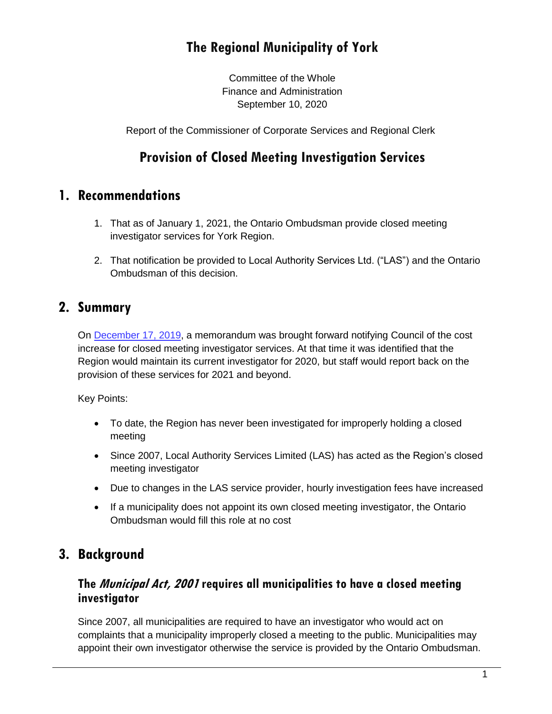# **The Regional Municipality of York**

Committee of the Whole Finance and Administration September 10, 2020

Report of the Commissioner of Corporate Services and Regional Clerk

# **Provision of Closed Meeting Investigation Services**

## **1. Recommendations**

- 1. That as of January 1, 2021, the Ontario Ombudsman provide closed meeting investigator services for York Region.
- 2. That notification be provided to Local Authority Services Ltd. ("LAS") and the Ontario Ombudsman of this decision.

## **2. Summary**

On [December 17, 2019,](https://yorkpublishing.escribemeetings.com/Meeting.aspx?Id=51620677-8ccc-4960-a905-1558e66b41bb&Agenda=PostMinutes&lang=English&Item=26) a memorandum was brought forward notifying Council of the cost increase for closed meeting investigator services. At that time it was identified that the Region would maintain its current investigator for 2020, but staff would report back on the provision of these services for 2021 and beyond.

Key Points:

- To date, the Region has never been investigated for improperly holding a closed meeting
- Since 2007, Local Authority Services Limited (LAS) has acted as the Region's closed meeting investigator
- Due to changes in the LAS service provider, hourly investigation fees have increased
- If a municipality does not appoint its own closed meeting investigator, the Ontario Ombudsman would fill this role at no cost

## **3. Background**

#### **The Municipal Act, 2001 requires all municipalities to have a closed meeting investigator**

Since 2007, all municipalities are required to have an investigator who would act on complaints that a municipality improperly closed a meeting to the public. Municipalities may appoint their own investigator otherwise the service is provided by the Ontario Ombudsman.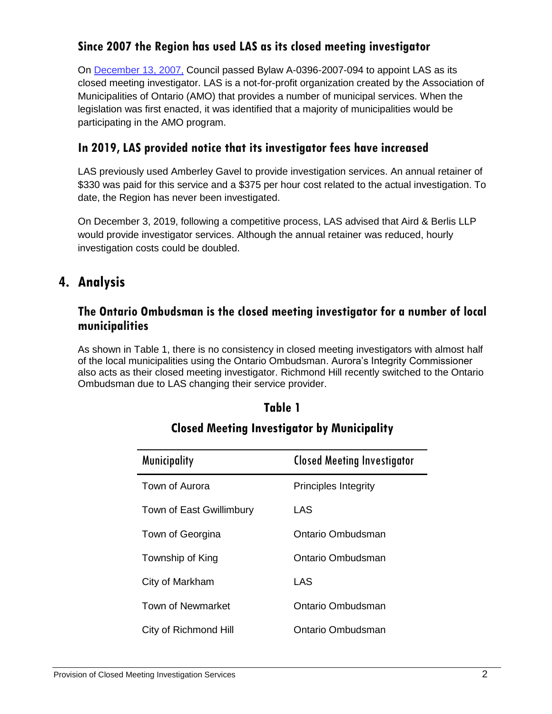### **Since 2007 the Region has used LAS as its closed meeting investigator**

On [December 13, 2007,](http://archives.york.ca/councilcommitteearchives/pdf/a-0396-2007-094.pdf) Council passed Bylaw A-0396-2007-094 to appoint LAS as its closed meeting investigator. LAS is a not-for-profit organization created by the Association of Municipalities of Ontario (AMO) that provides a number of municipal services. When the legislation was first enacted, it was identified that a majority of municipalities would be participating in the AMO program.

### **In 2019, LAS provided notice that its investigator fees have increased**

LAS previously used Amberley Gavel to provide investigation services. An annual retainer of \$330 was paid for this service and a \$375 per hour cost related to the actual investigation. To date, the Region has never been investigated.

On December 3, 2019, following a competitive process, LAS advised that Aird & Berlis LLP would provide investigator services. Although the annual retainer was reduced, hourly investigation costs could be doubled.

## **4. Analysis**

#### **The Ontario Ombudsman is the closed meeting investigator for a number of local municipalities**

As shown in Table 1, there is no consistency in closed meeting investigators with almost half of the local municipalities using the Ontario Ombudsman. Aurora's Integrity Commissioner also acts as their closed meeting investigator. Richmond Hill recently switched to the Ontario Ombudsman due to LAS changing their service provider.

| <b>Municipality</b>      | <b>Closed Meeting Investigator</b> |
|--------------------------|------------------------------------|
| Town of Aurora           | <b>Principles Integrity</b>        |
| Town of East Gwillimbury | LAS                                |
| Town of Georgina         | Ontario Ombudsman                  |
| Township of King         | Ontario Ombudsman                  |
| City of Markham          | LAS                                |
| Town of Newmarket        | Ontario Ombudsman                  |
| City of Richmond Hill    | Ontario Ombudsman                  |

### **Closed Meeting Investigator by Municipality**

**Table 1**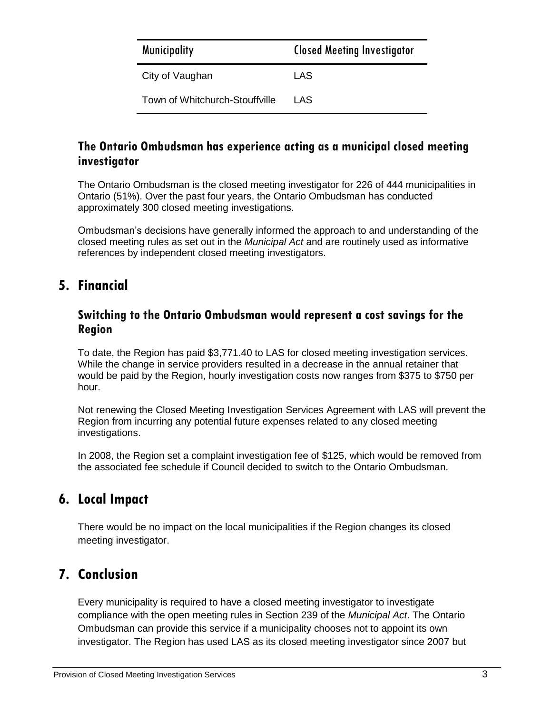| <b>Municipality</b>            | <b>Closed Meeting Investigator</b> |
|--------------------------------|------------------------------------|
| City of Vaughan                | LAS                                |
| Town of Whitchurch-Stouffville | I AS                               |

#### **The Ontario Ombudsman has experience acting as a municipal closed meeting investigator**

The Ontario Ombudsman is the closed meeting investigator for 226 of 444 municipalities in Ontario (51%). Over the past four years, the Ontario Ombudsman has conducted approximately 300 closed meeting investigations.

Ombudsman's decisions have generally informed the approach to and understanding of the closed meeting rules as set out in the *Municipal Act* and are routinely used as informative references by independent closed meeting investigators.

## **5. Financial**

#### **Switching to the Ontario Ombudsman would represent a cost savings for the Region**

To date, the Region has paid \$3,771.40 to LAS for closed meeting investigation services. While the change in service providers resulted in a decrease in the annual retainer that would be paid by the Region, hourly investigation costs now ranges from \$375 to \$750 per hour.

Not renewing the Closed Meeting Investigation Services Agreement with LAS will prevent the Region from incurring any potential future expenses related to any closed meeting investigations.

In 2008, the Region set a complaint investigation fee of \$125, which would be removed from the associated fee schedule if Council decided to switch to the Ontario Ombudsman.

### **6. Local Impact**

There would be no impact on the local municipalities if the Region changes its closed meeting investigator.

## **7. Conclusion**

Every municipality is required to have a closed meeting investigator to investigate compliance with the open meeting rules in Section 239 of the *Municipal Act*. The Ontario Ombudsman can provide this service if a municipality chooses not to appoint its own investigator. The Region has used LAS as its closed meeting investigator since 2007 but